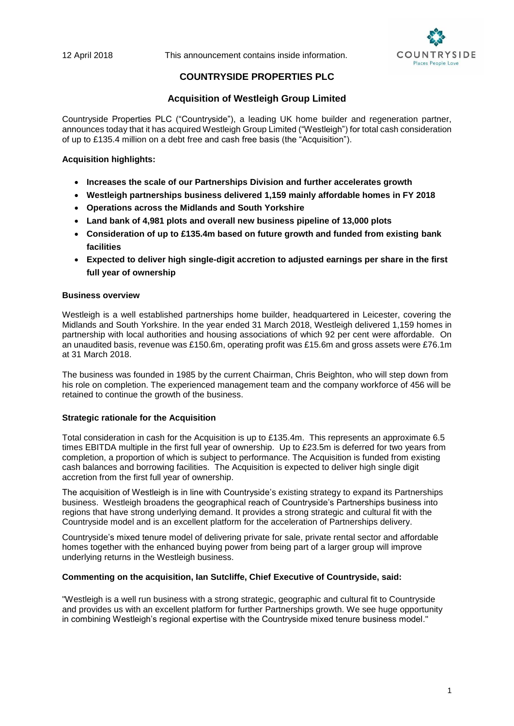12 April 2018 This announcement contains inside information.



# **COUNTRYSIDE PROPERTIES PLC**

## **Acquisition of Westleigh Group Limited**

Countryside Properties PLC ("Countryside"), a leading UK home builder and regeneration partner, announces today that it has acquired Westleigh Group Limited ("Westleigh") for total cash consideration of up to £135.4 million on a debt free and cash free basis (the "Acquisition").

### **Acquisition highlights:**

- **Increases the scale of our Partnerships Division and further accelerates growth**
- **Westleigh partnerships business delivered 1,159 mainly affordable homes in FY 2018**
- **Operations across the Midlands and South Yorkshire**
- **Land bank of 4,981 plots and overall new business pipeline of 13,000 plots**
- **Consideration of up to £135.4m based on future growth and funded from existing bank facilities**
- **Expected to deliver high single-digit accretion to adjusted earnings per share in the first full year of ownership**

### **Business overview**

Westleigh is a well established partnerships home builder, headquartered in Leicester, covering the Midlands and South Yorkshire. In the year ended 31 March 2018, Westleigh delivered 1,159 homes in partnership with local authorities and housing associations of which 92 per cent were affordable. On an unaudited basis, revenue was £150.6m, operating profit was £15.6m and gross assets were £76.1m at 31 March 2018.

The business was founded in 1985 by the current Chairman, Chris Beighton, who will step down from his role on completion. The experienced management team and the company workforce of 456 will be retained to continue the growth of the business.

### **Strategic rationale for the Acquisition**

Total consideration in cash for the Acquisition is up to £135.4m. This represents an approximate 6.5 times EBITDA multiple in the first full year of ownership. Up to £23.5m is deferred for two years from completion, a proportion of which is subject to performance. The Acquisition is funded from existing cash balances and borrowing facilities. The Acquisition is expected to deliver high single digit accretion from the first full year of ownership.

The acquisition of Westleigh is in line with Countryside's existing strategy to expand its Partnerships business. Westleigh broadens the geographical reach of Countryside's Partnerships business into regions that have strong underlying demand. It provides a strong strategic and cultural fit with the Countryside model and is an excellent platform for the acceleration of Partnerships delivery.

Countryside's mixed tenure model of delivering private for sale, private rental sector and affordable homes together with the enhanced buying power from being part of a larger group will improve underlying returns in the Westleigh business.

### **Commenting on the acquisition, Ian Sutcliffe, Chief Executive of Countryside, said:**

"Westleigh is a well run business with a strong strategic, geographic and cultural fit to Countryside and provides us with an excellent platform for further Partnerships growth. We see huge opportunity in combining Westleigh's regional expertise with the Countryside mixed tenure business model."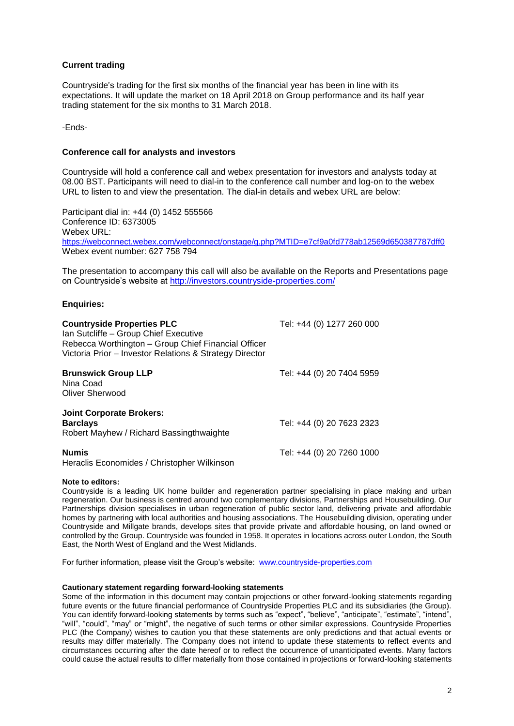### **Current trading**

Countryside's trading for the first six months of the financial year has been in line with its expectations. It will update the market on 18 April 2018 on Group performance and its half year trading statement for the six months to 31 March 2018.

-Ends-

#### **Conference call for analysts and investors**

Countryside will hold a conference call and webex presentation for investors and analysts today at 08.00 BST. Participants will need to dial-in to the conference call number and log-on to the webex URL to listen to and view the presentation. The dial-in details and webex URL are below:

Participant dial in: +44 (0) 1452 555566 Conference ID: 6373005 Webex URL: <https://webconnect.webex.com/webconnect/onstage/g.php?MTID=e7cf9a0fd778ab12569d650387787dff0> Webex event number: 627 758 794

The presentation to accompany this call will also be available on the Reports and Presentations page on Countryside's website at <http://investors.countryside-properties.com/>

#### **Enquiries:**

| <b>Countryside Properties PLC</b><br>Ian Sutcliffe - Group Chief Executive<br>Rebecca Worthington - Group Chief Financial Officer<br>Victoria Prior - Investor Relations & Strategy Director | Tel: +44 (0) 1277 260 000 |
|----------------------------------------------------------------------------------------------------------------------------------------------------------------------------------------------|---------------------------|
| <b>Brunswick Group LLP</b><br>Nina Coad<br>Oliver Sherwood                                                                                                                                   | Tel: +44 (0) 20 7404 5959 |
| <b>Joint Corporate Brokers:</b><br><b>Barclays</b><br>Robert Mayhew / Richard Bassingthwaighte                                                                                               | Tel: +44 (0) 20 7623 2323 |
| <b>Numis</b><br>Heraclis Economides / Christopher Wilkinson                                                                                                                                  | Tel: +44 (0) 20 7260 1000 |

#### **Note to editors:**

Countryside is a leading UK home builder and regeneration partner specialising in place making and urban regeneration. Our business is centred around two complementary divisions, Partnerships and Housebuilding. Our Partnerships division specialises in urban regeneration of public sector land, delivering private and affordable homes by partnering with local authorities and housing associations. The Housebuilding division, operating under Countryside and Millgate brands, develops sites that provide private and affordable housing, on land owned or controlled by the Group. Countryside was founded in 1958. It operates in locations across outer London, the South East, the North West of England and the West Midlands.

For further information, please visit the Group's website: [www.countryside-properties.com](http://www.countryside-properties.com/)

#### **Cautionary statement regarding forward-looking statements**

Some of the information in this document may contain projections or other forward-looking statements regarding future events or the future financial performance of Countryside Properties PLC and its subsidiaries (the Group). You can identify forward-looking statements by terms such as "expect", "believe", "anticipate", "estimate", "intend", "will", "could", "may" or "might", the negative of such terms or other similar expressions. Countryside Properties PLC (the Company) wishes to caution you that these statements are only predictions and that actual events or results may differ materially. The Company does not intend to update these statements to reflect events and circumstances occurring after the date hereof or to reflect the occurrence of unanticipated events. Many factors could cause the actual results to differ materially from those contained in projections or forward-looking statements